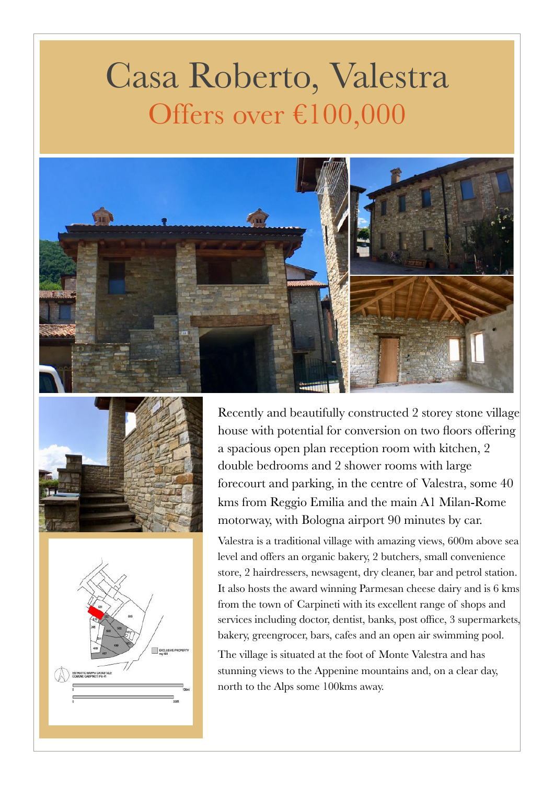## Casa Roberto, Valestra Offers over €100,000







Recently and beautifully constructed 2 storey stone village house with potential for conversion on two floors offering a spacious open plan reception room with kitchen, 2 double bedrooms and 2 shower rooms with large forecourt and parking, in the centre of Valestra, some 40 kms from Reggio Emilia and the main A1 Milan-Rome motorway, with Bologna airport 90 minutes by car.

Valestra is a traditional village with amazing views, 600m above sea level and offers an organic bakery, 2 butchers, small convenience store, 2 hairdressers, newsagent, dry cleaner, bar and petrol station. It also hosts the award winning Parmesan cheese dairy and is 6 kms from the town of Carpineti with its excellent range of shops and services including doctor, dentist, banks, post office, 3 supermarkets, bakery, greengrocer, bars, cafes and an open air swimming pool.

The village is situated at the foot of Monte Valestra and has stunning views to the Appenine mountains and, on a clear day, north to the Alps some 100kms away.